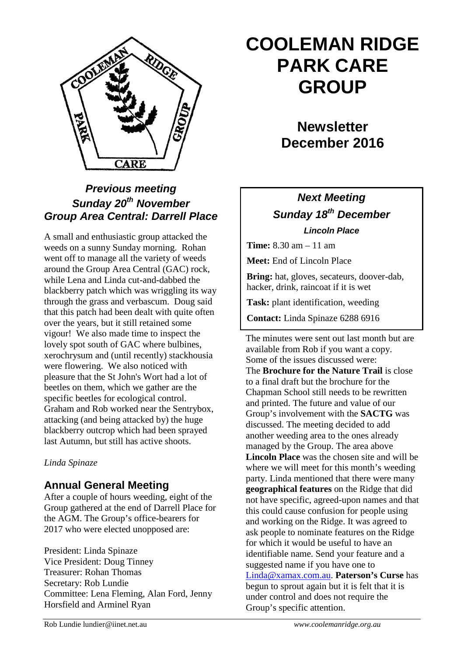

## *Previous meeting Sunday 20th November Group Area Central: Darrell Place*

A small and enthusiastic group attacked the weeds on a sunny Sunday morning. Rohan went off to manage all the variety of weeds around the Group Area Central (GAC) rock, while Lena and Linda cut-and-dabbed the blackberry patch which was wriggling its way through the grass and verbascum. Doug said that this patch had been dealt with quite often over the years, but it still retained some vigour! We also made time to inspect the lovely spot south of GAC where bulbines, xerochrysum and (until recently) stackhousia were flowering. We also noticed with pleasure that the St John's Wort had a lot of beetles on them, which we gather are the specific beetles for ecological control. Graham and Rob worked near the Sentrybox, attacking (and being attacked by) the huge blackberry outcrop which had been sprayed last Autumn, but still has active shoots.

#### *Linda Spinaze*

#### **Annual General Meeting**

After a couple of hours weeding, eight of the Group gathered at the end of Darrell Place for the AGM. The Group's office-bearers for 2017 who were elected unopposed are:

President: Linda Spinaze Vice President: Doug Tinney Treasurer: Rohan Thomas Secretary: Rob Lundie Committee: Lena Fleming, Alan Ford, Jenny Horsfield and Arminel Ryan

# **COOLEMAN RIDGE PARK CARE GROUP**

# **Newsletter December 2016**

# *Next Meeting Sunday 18th December Lincoln Place*

**Time:** 8.30 am – 11 am

**Meet:** End of Lincoln Place

**Bring:** hat, gloves, secateurs, doover-dab, hacker, drink, raincoat if it is wet

**Task:** plant identification, weeding

**Contact:** Linda Spinaze 6288 6916

The minutes were sent out last month but are available from Rob if you want a copy. Some of the issues discussed were: The **Brochure for the Nature Trail** is close to a final draft but the brochure for the Chapman School still needs to be rewritten and printed. The future and value of our Group's involvement with the **SACTG** was discussed. The meeting decided to add another weeding area to the ones already managed by the Group. The area above **Lincoln Place** was the chosen site and will be where we will meet for this month's weeding party. Linda mentioned that there were many **geographical features** on the Ridge that did not have specific, agreed-upon names and that this could cause confusion for people using and working on the Ridge. It was agreed to ask people to nominate features on the Ridge for which it would be useful to have an identifiable name. Send your feature and a suggested name if you have one to [Linda@xamax.com.au.](mailto:Linda@xamax.com.au) **Paterson's Curse** has begun to sprout again but it is felt that it is under control and does not require the Group's specific attention.

Rob Lundie lundier@iinet.net.au *www.coolemanridge.org.au*